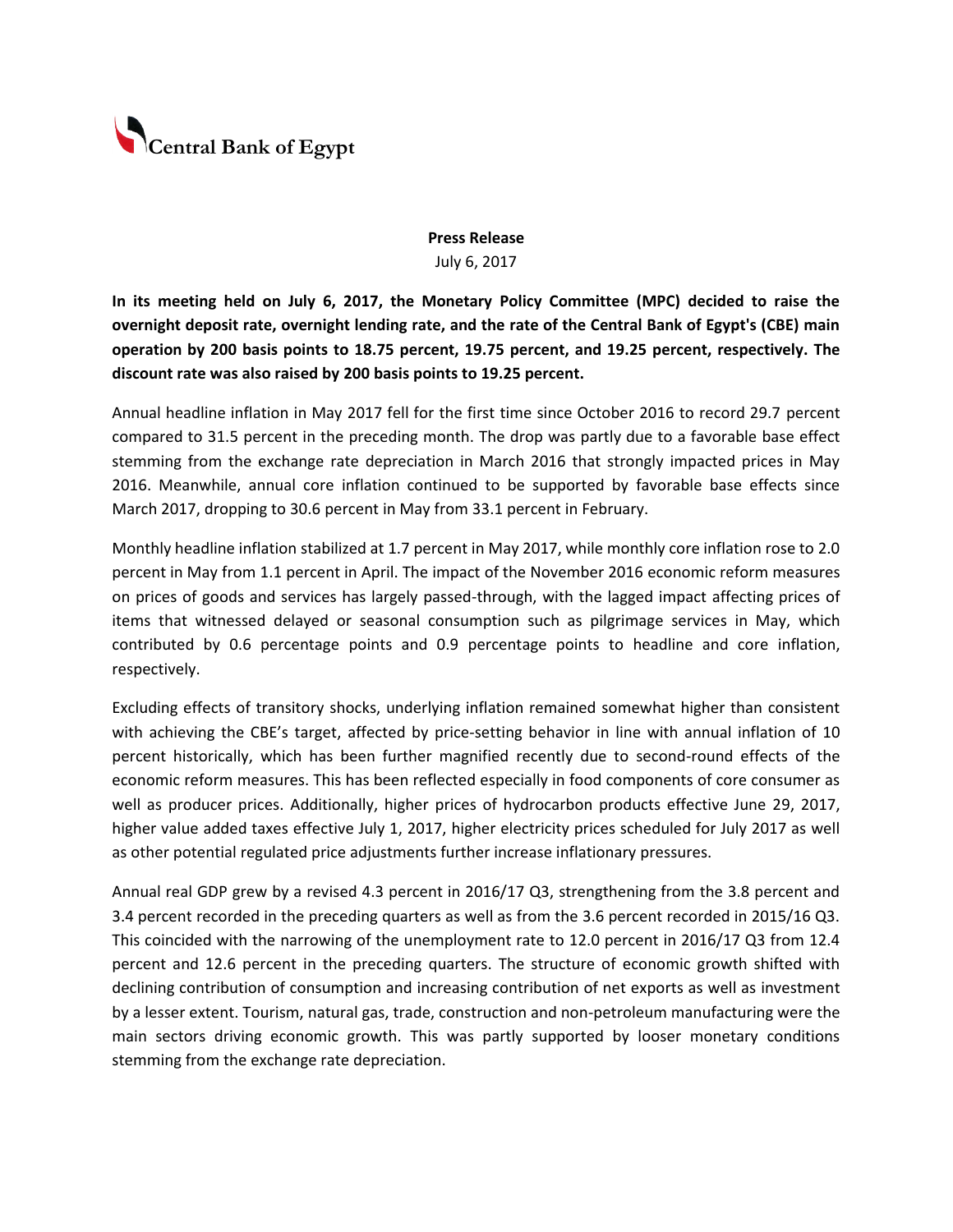

## **Press Release** July 6, 2017

**In its meeting held on July 6, 2017, the Monetary Policy Committee (MPC) decided to raise the overnight deposit rate, overnight lending rate, and the rate of the Central Bank of Egypt's (CBE) main operation by 200 basis points to 18.75 percent, 19.75 percent, and 19.25 percent, respectively. The discount rate was also raised by 200 basis points to 19.25 percent.** 

Annual headline inflation in May 2017 fell for the first time since October 2016 to record 29.7 percent compared to 31.5 percent in the preceding month. The drop was partly due to a favorable base effect stemming from the exchange rate depreciation in March 2016 that strongly impacted prices in May 2016. Meanwhile, annual core inflation continued to be supported by favorable base effects since March 2017, dropping to 30.6 percent in May from 33.1 percent in February.

Monthly headline inflation stabilized at 1.7 percent in May 2017, while monthly core inflation rose to 2.0 percent in May from 1.1 percent in April. The impact of the November 2016 economic reform measures on prices of goods and services has largely passed-through, with the lagged impact affecting prices of items that witnessed delayed or seasonal consumption such as pilgrimage services in May, which contributed by 0.6 percentage points and 0.9 percentage points to headline and core inflation, respectively.

Excluding effects of transitory shocks, underlying inflation remained somewhat higher than consistent with achieving the CBE's target, affected by price-setting behavior in line with annual inflation of 10 percent historically, which has been further magnified recently due to second-round effects of the economic reform measures. This has been reflected especially in food components of core consumer as well as producer prices. Additionally, higher prices of hydrocarbon products effective June 29, 2017, higher value added taxes effective July 1, 2017, higher electricity prices scheduled for July 2017 as well as other potential regulated price adjustments further increase inflationary pressures.

Annual real GDP grew by a revised 4.3 percent in 2016/17 Q3, strengthening from the 3.8 percent and 3.4 percent recorded in the preceding quarters as well as from the 3.6 percent recorded in 2015/16 Q3. This coincided with the narrowing of the unemployment rate to 12.0 percent in 2016/17 Q3 from 12.4 percent and 12.6 percent in the preceding quarters. The structure of economic growth shifted with declining contribution of consumption and increasing contribution of net exports as well as investment by a lesser extent. Tourism, natural gas, trade, construction and non-petroleum manufacturing were the main sectors driving economic growth. This was partly supported by looser monetary conditions stemming from the exchange rate depreciation.